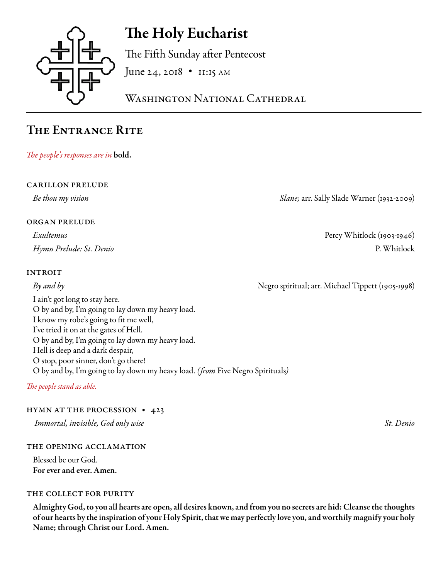

# The Holy Eucharist

The Fifth Sunday after Pentecost

June 24, 2018 • II:15 AM

WASHINGTON NATIONAL CATHEDRAL

# THE ENTRANCE RITE

*The people's responses are in* bold.

### carillon prelude

### organ prelude

### **INTROIT**

*Be thou my vision Slane;* arr. Sally Slade Warner (1932-2009)

*Exultemus* Percy Whitlock (1903-1946) *Hymn Prelude: St. Denio* P. Whitlock

*By and by By and by Negro spiritual; arr. Michael Tippett* (1905-1998)

I ain't got long to stay here. O by and by, I'm going to lay down my heavy load. I know my robe's going to fit me well, I've tried it on at the gates of Hell. O by and by, I'm going to lay down my heavy load. Hell is deep and a dark despair, O stop, poor sinner, don't go there! O by and by, I'm going to lay down my heavy load. *(from* Five Negro Spirituals*)*

*The people stand as able.* 

### hymn at the procession • 423

 *Immortal, invisible, God only wise St. Denio* 

### the opening acclamation

Blessed be our God. For ever and ever. Amen.

### THE COLLECT FOR PURITY

Almighty God, to you all hearts are open, all desires known, and from you no secrets are hid: Cleanse the thoughts of our hearts by the inspiration of your Holy Spirit, that we may perfectly love you, and worthily magnify your holy Name; through Christ our Lord. Amen.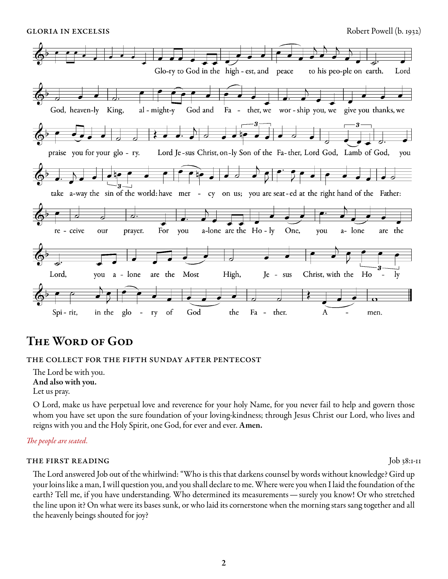gloria in excelsis Robert Powell (b. 1932)



## The Word of God

#### the collect for the fifth sunday after pentecost

The Lord be with you. And also with you. Let us pray.

O Lord, make us have perpetual love and reverence for your holy Name, for you never fail to help and govern those whom you have set upon the sure foundation of your loving-kindness; through Jesus Christ our Lord, who lives and reigns with you and the Holy Spirit, one God, for ever and ever. Amen.

#### *The people are seated.*

#### THE FIRST READING Job 38:1-11

The Lord answered Job out of the whirlwind: "Who is this that darkens counsel by words without knowledge? Gird up your loins like a man, I will question you, and you shall declare to me. Where were you when I laid the foundation of the earth? Tell me, if you have understanding. Who determined its measurements—surely you know! Or who stretched the line upon it? On what were its bases sunk, or who laid its cornerstone when the morning stars sang together and all the heavenly beings shouted for joy?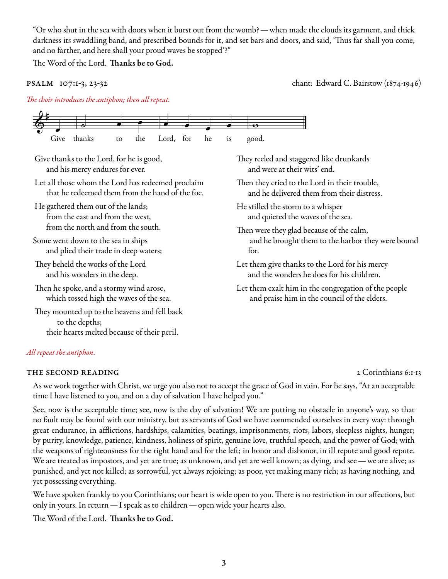"Or who shut in the sea with doors when it burst out from the womb?—when made the clouds its garment, and thick darkness its swaddling band, and prescribed bounds for it, and set bars and doors, and said, 'Thus far shall you come, and no farther, and here shall your proud waves be stopped'?"

The Word of the Lord. Thanks be to God.

psalm 107:1-3, 23-32 chant: Edward C. Bairstow (1874-1946)





 Give thanks to the Lord, for he is good, and his mercy endures for ever.

- Let all those whom the Lord has redeemed proclaim that he redeemed them from the hand of the foe.
- He gathered them out of the lands; from the east and from the west, from the north and from the south.
- Some went down to the sea in ships and plied their trade in deep waters;
- They beheld the works of the Lord and his wonders in the deep.
- Then he spoke, and a stormy wind arose, which tossed high the waves of the sea.

 They mounted up to the heavens and fell back to the depths; their hearts melted because of their peril.

#### *All repeat the antiphon.*

#### THE SECOND READING  $\frac{2 \text{ Corinthians } 6:1-13}{2 \text{ Corinthians } 6:1-13}$

 They reeled and staggered like drunkards and were at their wits' end.

- Then they cried to the Lord in their trouble, and he delivered them from their distress.
- He stilled the storm to a whisper and quieted the waves of the sea.
- Then were they glad because of the calm, and he brought them to the harbor they were bound for.
- Let them give thanks to the Lord for his mercy and the wonders he does for his children.
- Let them exalt him in the congregation of the people and praise him in the council of the elders.

As we work together with Christ, we urge you also not to accept the grace of God in vain. For he says, "At an acceptable time I have listened to you, and on a day of salvation I have helped you."

See, now is the acceptable time; see, now is the day of salvation! We are putting no obstacle in anyone's way, so that no fault may be found with our ministry, but as servants of God we have commended ourselves in every way: through great endurance, in afflictions, hardships, calamities, beatings, imprisonments, riots, labors, sleepless nights, hunger; by purity, knowledge, patience, kindness, holiness of spirit, genuine love, truthful speech, and the power of God; with the weapons of righteousness for the right hand and for the left; in honor and dishonor, in ill repute and good repute. We are treated as impostors, and yet are true; as unknown, and yet are well known; as dying, and see—we are alive; as punished, and yet not killed; as sorrowful, yet always rejoicing; as poor, yet making many rich; as having nothing, and yet possessing everything.

We have spoken frankly to you Corinthians; our heart is wide open to you. There is no restriction in our affections, but only in yours. In return—I speak as to children—open wide your hearts also.

The Word of the Lord. Thanks be to God.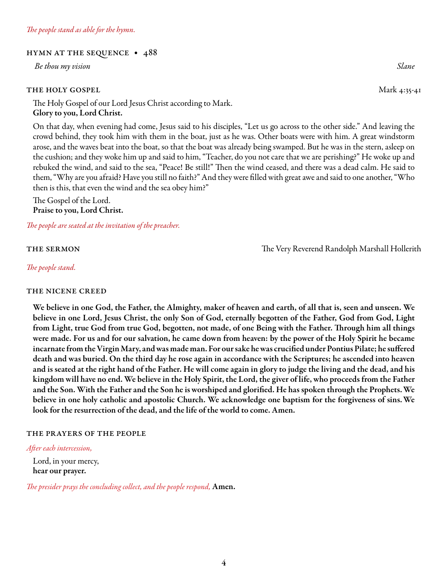#### hymn at the sequence • 488

 *Be thou my vision Slane* 

#### THE HOLY GOSPEL **Mark 4:35-41**

The Holy Gospel of our Lord Jesus Christ according to Mark. Glory to you, Lord Christ.

On that day, when evening had come, Jesus said to his disciples, "Let us go across to the other side." And leaving the crowd behind, they took him with them in the boat, just as he was. Other boats were with him. A great windstorm arose, and the waves beat into the boat, so that the boat was already being swamped. But he was in the stern, asleep on the cushion; and they woke him up and said to him, "Teacher, do you not care that we are perishing?" He woke up and rebuked the wind, and said to the sea, "Peace! Be still!" Then the wind ceased, and there was a dead calm. He said to them, "Why are you afraid? Have you still no faith?" And they were filled with great awe and said to one another, "Who then is this, that even the wind and the sea obey him?"

#### The Gospel of the Lord. Praise to you, Lord Christ.

*The people are seated at the invitation of the preacher.*

the sermon The Very Reverend Randolph Marshall Hollerith

#### *The people stand.*

#### the nicene creed

We believe in one God, the Father, the Almighty, maker of heaven and earth, of all that is, seen and unseen. We believe in one Lord, Jesus Christ, the only Son of God, eternally begotten of the Father, God from God, Light from Light, true God from true God, begotten, not made, of one Being with the Father. Through him all things were made. For us and for our salvation, he came down from heaven: by the power of the Holy Spirit he became incarnate from the Virgin Mary, and was made man. For our sake he was crucified under Pontius Pilate; he suffered death and was buried. On the third day he rose again in accordance with the Scriptures; he ascended into heaven and is seated at the right hand of the Father. He will come again in glory to judge the living and the dead, and his kingdom will have no end. We believe in the Holy Spirit, the Lord, the giver of life, who proceeds from the Father and the Son. With the Father and the Son he is worshiped and glorified. He has spoken through the Prophets.We believe in one holy catholic and apostolic Church. We acknowledge one baptism for the forgiveness of sins.We look for the resurrection of the dead, and the life of the world to come. Amen.

#### the prayers of the people

#### *After each intercession,*

Lord, in your mercy, hear our prayer.

*The presider prays the concluding collect, and the people respond,* Amen.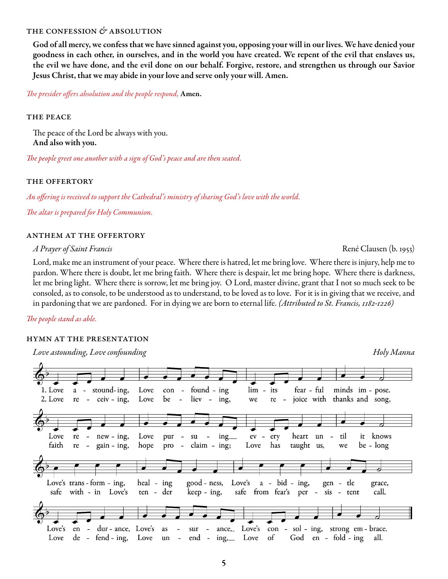#### the confession *&* absolution

God of all mercy, we confess that we have sinned against you, opposing your will in our lives. We have denied your goodness in each other, in ourselves, and in the world you have created. We repent of the evil that enslaves us, the evil we have done, and the evil done on our behalf. Forgive, restore, and strengthen us through our Savior Jesus Christ, that we may abide in your love and serve only your will. Amen.

*The presider offers absolution and the people respond,* Amen.

#### THE PEACE

The peace of the Lord be always with you. And also with you.

*The people greet one another with a sign of God's peace and are then seated.*

#### the offertory

*An offering is received to support the Cathedral's ministry of sharing God's love with the world. The altar is prepared for Holy Communion.*

#### anthem at the offertory

#### *A Prayer of Saint Francis* René Clausen (b. 1953)

Lord, make me an instrument of your peace. Where there is hatred, let me bring love. Where there is injury, help me to pardon. Where there is doubt, let me bring faith. Where there is despair, let me bring hope. Where there is darkness, let me bring light. Where there is sorrow, let me bring joy. O Lord, master divine, grant that I not so much seek to be consoled, as to console, to be understood as to understand, to be loved as to love. For it is in giving that we receive, and in pardoning that we are pardoned. For in dying we are born to eternal life. *(Attributed to St. Francis, 1182-1226)*

#### *The people stand as able.*

#### hymn at the presentation

fear - ful minds im - pose. 1. Love stound-ing, Love  $con - found - ing$ lim  $-$  its  $a -$ 2. Love  $-$  ceiv  $-$  ing, Love be liev ing, re joice with thanks and song, re  $\sim$  $\bar{\phantom{a}}$ we  $\overline{\phantom{a}}$ Love re  $\sim$  $new - ing$ , Love  $\sim$ su  $ing$ <sub>—</sub>  $ev$ ery heart un  $\mathbb{L}$ til it knows pur  $\overline{\phantom{a}}$ faith  $\mathbb{L}$ gain - ing, hope  $claim - ing;$ Love has taught us, be - long re pro  $\overline{\phantom{a}}$ we Love's trans-form - ing, good - ness, Love's  $a - bid - ing$ , grace, heal - ing gen - tle with - in Love's ten - der call. safe  $keep - ing,$ safe from fear's per - sis  $\sim$ tent Love's en  $\sim$ dur - ance, Love's **as**  $\equiv$ ance, Love's  $\cos$  - sol - ing, strong em - brace. sur end -Love  $de$ fend - ing, Love  $\mathbf{u}$ n  $ing,$ Love  $\sigma$ God  $en - fold - ing$ all.  $\overline{\phantom{a}}$ 

*Love astounding, Love confounding Holy Manna*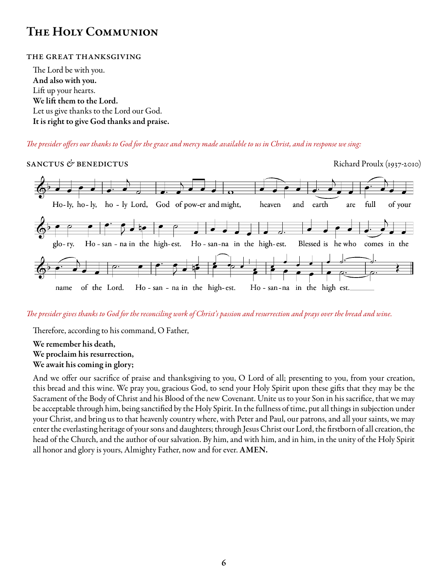# The Holy Communion

#### the great thanksgiving

The Lord be with you. And also with you. Lift up your hearts. We lift them to the Lord. Let us give thanks to the Lord our God. It is right to give God thanks and praise.

#### *The presider offers our thanks to God for the grace and mercy made available to us in Christ, and in response we sing:*

#### SANCTUS & BENEDICTUS **Richard Proulx (1937-2010**) Ho-ly, ho-ly, ho-ly Lord, God of pow-er and might, heaven and earth full of your are Ho-san-na in the high-est. Ho-san-na in the high-est. Blessed is he who comes in the glo-ry. of the Lord. Ho - san - na in the high-est. Ho-san-na in the high est. name

#### *The presider gives thanks to God for the reconciling work of Christ's passion and resurrection and prays over the bread and wine.*

Therefore, according to his command, O Father,

We remember his death, We proclaim his resurrection, We await his coming in glory;

And we offer our sacrifice of praise and thanksgiving to you, O Lord of all; presenting to you, from your creation, this bread and this wine. We pray you, gracious God, to send your Holy Spirit upon these gifts that they may be the Sacrament of the Body of Christ and his Blood of the new Covenant. Unite us to your Son in his sacrifice, that we may be acceptable through him, being sanctified by the Holy Spirit. In the fullness of time, put all things in subjection under your Christ, and bring us to that heavenly country where, with Peter and Paul, our patrons, and all your saints, we may enter the everlasting heritage of your sons and daughters; through Jesus Christ our Lord, the firstborn of all creation, the head of the Church, and the author of our salvation. By him, and with him, and in him, in the unity of the Holy Spirit all honor and glory is yours, Almighty Father, now and for ever. AMEN.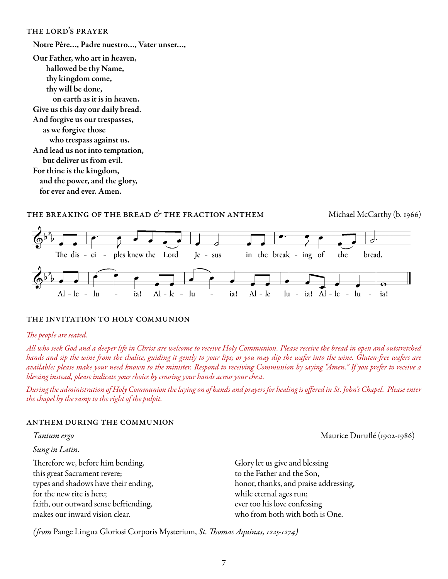#### the lord's prayer

Notre Père…, Padre nuestro…, Vater unser…,

Our Father, who art in heaven, hallowed be thy Name, thy kingdom come, thy will be done, on earth as it is in heaven. Give us this day our daily bread. And forgive us our trespasses, as we forgive those who trespass against us. And lead us not into temptation, but deliver us from evil. For thine is the kingdom, and the power, and the glory, for ever and ever. Amen.



#### the invitation to holy communion

#### *The people are seated.*

*All who seek God and a deeper life in Christ are welcome to receive Holy Communion. Please receive the bread in open and outstretched hands and sip the wine from the chalice, guiding it gently to your lips; or you may dip the wafer into the wine. Gluten-free wafers are available; please make your need known to the minister. Respond to receiving Communion by saying "Amen." If you prefer to receive a blessing instead, please indicate your choice by crossing your hands across your chest.* 

*During the administration of Holy Communion the laying on of hands and prayers for healing is offered in St. John's Chapel. Please enter the chapel by the ramp to the right of the pulpit.*

#### anthem during the communion

*Sung in Latin.* 

Therefore we, before him bending, this great Sacrament revere; types and shadows have their ending, for the new rite is here; faith, our outward sense befriending, makes our inward vision clear.

*Tantum ergo* Maurice Duruflé (1902-1986)

Glory let us give and blessing to the Father and the Son, honor, thanks, and praise addressing, while eternal ages run; ever too his love confessing who from both with both is One.

*(from* Pange Lingua Gloriosi Corporis Mysterium, *St. Thomas Aquinas, 1225-1274)*

7